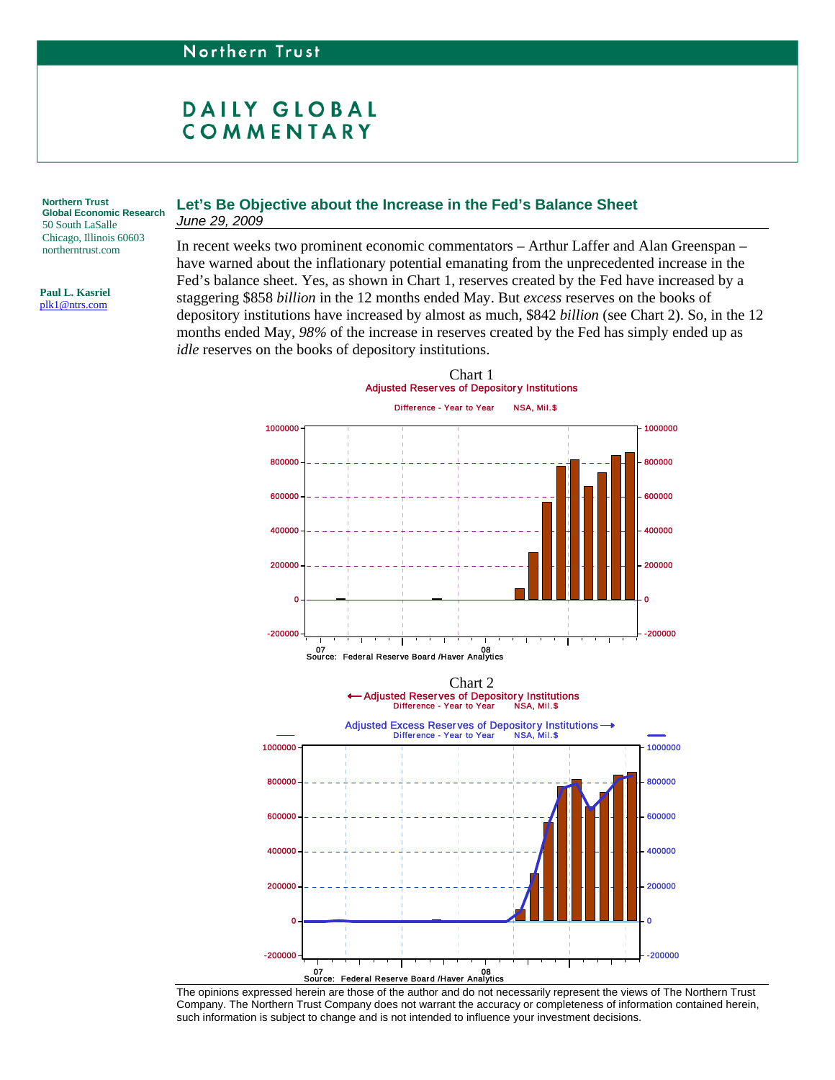## DAILY GLOBAL COMMENTARY

**Global Economic Research**  50 South LaSalle Chicago, Illinois 60603 northerntrust.com

**Paul L. Kasriel**  [plk1@ntrs.com](mailto:plk1@ntrs.com) 

## Northern Trust **Let's Be Objective about the Increase in the Fed's Balance Sheet** *June 29, 2009*

In recent weeks two prominent economic commentators – Arthur Laffer and Alan Greenspan – have warned about the inflationary potential emanating from the unprecedented increase in the Fed's balance sheet. Yes, as shown in Chart 1, reserves created by the Fed have increased by a staggering \$858 *billion* in the 12 months ended May. But *excess* reserves on the books of depository institutions have increased by almost as much, \$842 *billion* (see Chart 2). So, in the 12 months ended May, *98%* of the increase in reserves created by the Fed has simply ended up as *idle* reserves on the books of depository institutions.



The opinions expressed herein are those of the author and do not necessarily represent the views of The Northern Trust Company. The Northern Trust Company does not warrant the accuracy or completeness of information contained herein, such information is subject to change and is not intended to influence your investment decisions.